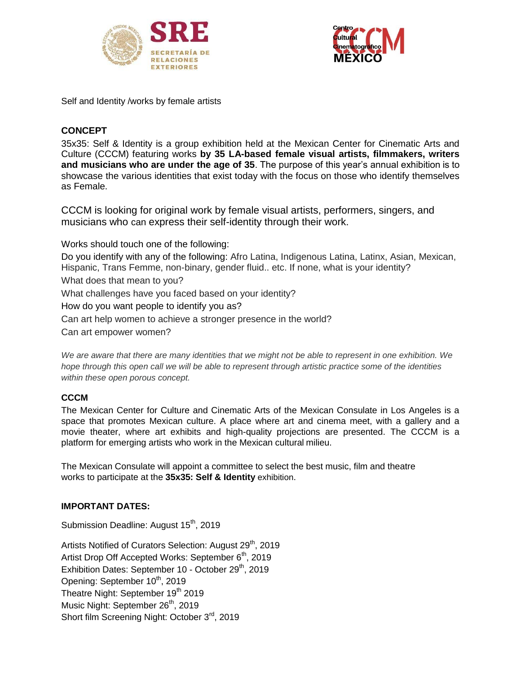



Self and Identity /works by female artists

# **CONCEPT**

35x35: Self & Identity is a group exhibition held at the Mexican Center for Cinematic Arts and Culture (CCCM) featuring works **by 35 LA-based female visual artists, filmmakers, writers and musicians who are under the age of 35**. The purpose of this year's annual exhibition is to showcase the various identities that exist today with the focus on those who identify themselves as Female.

CCCM is looking for original work by female visual artists, performers, singers, and musicians who can express their self-identity through their work.

Works should touch one of the following:

Do you identify with any of the following: Afro Latina, Indigenous Latina, Latinx, Asian, Mexican, Hispanic, Trans Femme, non-binary, gender fluid.. etc. If none, what is your identity?

What does that mean to you?

What challenges have you faced based on your identity?

How do you want people to identify you as?

Can art help women to achieve a stronger presence in the world?

Can art empower women?

*We are aware that there are many identities that we might not be able to represent in one exhibition. We hope through this open call we will be able to represent through artistic practice some of the identities within these open porous concept.*

# **CCCM**

The Mexican Center for Culture and Cinematic Arts of the Mexican Consulate in Los Angeles is a space that promotes Mexican culture. A place where art and cinema meet, with a gallery and a movie theater, where art exhibits and high-quality projections are presented. The CCCM is a platform for emerging artists who work in the Mexican cultural milieu.

The Mexican Consulate will appoint a committee to select the best music, film and theatre works to participate at the **35x35: Self & Identity** exhibition.

# **IMPORTANT DATES:**

Submission Deadline: August 15<sup>th</sup>, 2019

Artists Notified of Curators Selection: August 29<sup>th</sup>, 2019 Artist Drop Off Accepted Works: September 6<sup>th</sup>, 2019 Exhibition Dates: September 10 - October 29<sup>th</sup>, 2019 Opening: September 10<sup>th</sup>, 2019 Theatre Night: September 19<sup>th</sup> 2019 Music Night: September 26<sup>th</sup>, 2019 Short film Screening Night: October 3<sup>rd</sup>, 2019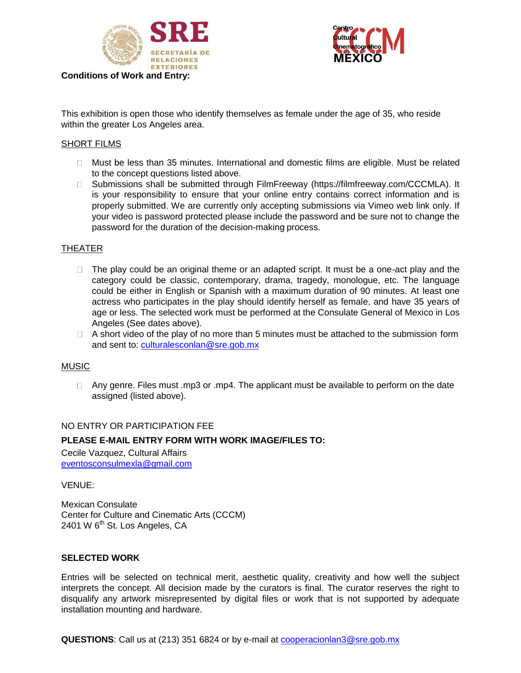



This exhibition is open those who identify themselves as female under the age of 35, who reside within the greater Los Angeles area.

### SHORT FILMS

- Must be less than 35 minutes. International and domestic films are eligible. Must be related to the concept questions listed above.
- □ Submissions shall be submitted through FilmFreeway (https://filmfreeway.com/CCCMLA). It is your responsibility to ensure that your online entry contains correct information and is properly submitted. We are currently only accepting submissions via Vimeo web link only. If your video is password protected please include the password and be sure not to change the password for the duration of the decision-making process.

### THEATER

- $\Box$  The play could be an original theme or an adapted script. It must be a one-act play and the category could be classic, contemporary, drama, tragedy, monologue, etc. The language could be either in English or Spanish with a maximum duration of 90 minutes. At least one actress who participates in the play should identify herself as female, and have 35 years of age or less. The selected work must be performed at the Consulate General of Mexico in Los Angeles (See dates above).
- $\Box$  A short video of the play of no more than 5 minutes must be attached to the submission form and sent to: [culturalesconlan@sre.gob.mx](mailto:culturalesconlan@sre.gob.mx)

#### MUSIC

 $\Box$  Any genre. Files must .mp3 or .mp4. The applicant must be available to perform on the date assigned (listed above).

#### NO ENTRY OR PARTICIPATION FEE

### **PLEASE E-MAIL ENTRY FORM WITH WORK IMAGE/FILES TO:**

Cecile Vazquez, Cultural Affairs [eventosconsulmexla@gmail.com](mailto:Cooperacionlan3@sre.gob.mx)

VENUE:

Mexican Consulate Center for Culture and Cinematic Arts (CCCM) 2401 W  $6<sup>th</sup>$  St. Los Angeles, CA

### **SELECTED WORK**

Entries will be selected on technical merit, aesthetic quality, creativity and how well the subject interprets the concept. All decision made by the curators is final. The curator reserves the right to disqualify any artwork misrepresented by digital files or work that is not supported by adequate installation mounting and hardware.